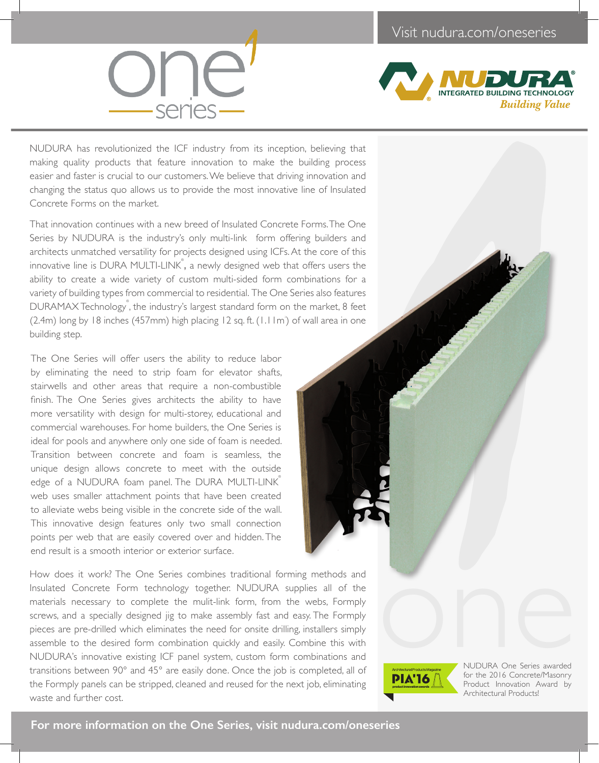

## **INTEGRATED BUILDING TECHNOLOGY Building Value**

1000

NUDURA has revolutionized the ICF industry from its inception, believing that making quality products that feature innovation to make the building process easier and faster is crucial to our customers. We believe that driving innovation and changing the status quo allows us to provide the most innovative line of Insulated Concrete Forms on the market.

That innovation continues with a new breed of Insulated Concrete Forms. The One Series by NUDURA is the industry's only multi-link form offering builders and architects unmatched versatility for projects designed using ICFs. At the core of this innovative line is DURA MULTI-LINK $\degree$ , a newly designed web that offers users the ability to create a wide variety of custom multi-sided form combinations for a variety of building types from commercial to residential. The One Series also features DURAMAX Technology<sup>®</sup>, the industry's largest standard form on the market, 8 feet  $(2.4m)$  long by 18 inches  $(457mm)$  high placing 12 sq. ft.  $(1.11m)$  of wall area in one building step.

The One Series will offer users the ability to reduce labor by eliminating the need to strip foam for elevator shafts, stairwells and other areas that require a non-combustible finish. The One Series gives architects the ability to have more versatility with design for multi-storey, educational and commercial warehouses. For home builders, the One Series is ideal for pools and anywhere only one side of foam is needed. Transition between concrete and foam is seamless, the unique design allows concrete to meet with the outside edge of a NUDURA foam panel. The DURA MULTI-LINK® web uses smaller attachment points that have been created to alleviate webs being visible in the concrete side of the wall. This innovative design features only two small connection points per web that are easily covered over and hidden. The end result is a smooth interior or exterior surface.

How does it work? The One Series combines traditional forming methods and Insulated Concrete Form technology together. NUDURA supplies all of the materials necessary to complete the mulit-link form, from the webs, Formply screws, and a specially designed jig to make assembly fast and easy. The Formply pieces are pre-drilled which eliminates the need for onsite drilling, installers simply assemble to the desired form combination quickly and easily. Combine this with NUDURA's innovative existing ICF panel system, custom form combinations and transitions between 90° and 45° are easily done. Once the job is completed, all of the Formply panels can be stripped, cleaned and reused for the next job, eliminating waste and further cost.



Architectural Products Magazine<br>
NUDURA One Series awarded<br>
DIA'IA D<br>
FRIAT C The 2016 Concrete/Masonry NUDURA One Series awarded for the 2016 Concrete/Masonry Product Innovation Award by Architectural Products!